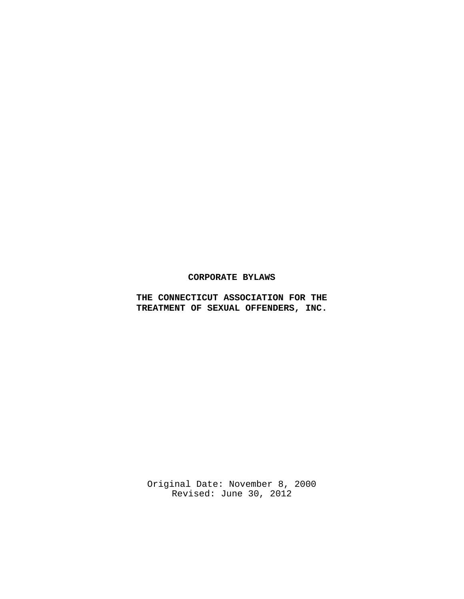# **CORPORATE BYLAWS**

**THE CONNECTICUT ASSOCIATION FOR THE TREATMENT OF SEXUAL OFFENDERS, INC.**

Original Date: November 8, 2000 Revised: June 30, 2012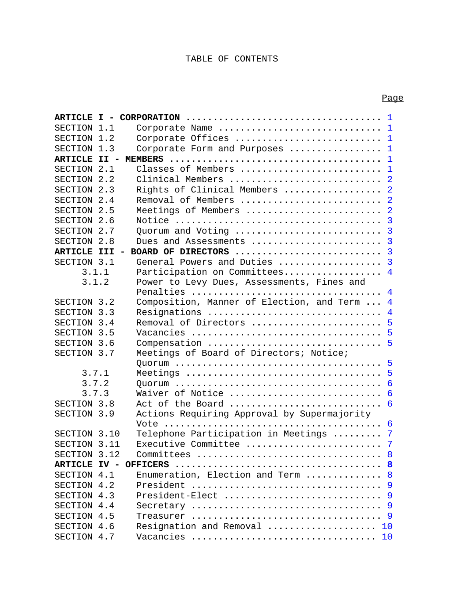# TABLE OF CONTENTS

| SECTION 1.1         |       | Corporate Name  1                                           |                 |
|---------------------|-------|-------------------------------------------------------------|-----------------|
| SECTION 1.2         |       | Corporate Offices  1                                        |                 |
| SECTION 1.3         |       | Corporate Form and Purposes $\ldots \ldots \ldots \ldots 1$ |                 |
| <b>ARTICLE II -</b> |       |                                                             | $\mathbf{1}$    |
| SECTION 2.1         |       | Classes of Members                                          | $\mathbf 1$     |
| SECTION 2.2         |       | Clinical Members<br>$\overline{2}$                          |                 |
| SECTION 2.3         |       | Rights of Clinical Members                                  | $\overline{2}$  |
| SECTION 2.4         |       | Removal of Members                                          | $\overline{2}$  |
| SECTION 2.5         |       | Meetings of Members                                         | $\overline{2}$  |
| SECTION 2.6         |       |                                                             | $\overline{3}$  |
| SECTION 2.7         |       | Quorum and Voting                                           | $\overline{3}$  |
| SECTION 2.8         |       | Dues and Assessments                                        | $\overline{3}$  |
| <b>ARTICLE III</b>  |       | BOARD OF DIRECTORS                                          | $\overline{3}$  |
| SECTION 3.1         |       | General Powers and Duties                                   | $\overline{3}$  |
|                     | 3.1.1 | Participation on Committees                                 | $\overline{4}$  |
|                     | 3.1.2 | Power to Levy Dues, Assessments, Fines and                  |                 |
|                     |       | Penalties                                                   | $\overline{4}$  |
| SECTION 3.2         |       | Composition, Manner of Election, and Term                   | $\overline{4}$  |
| SECTION 3.3         |       | Resignations                                                | $\overline{4}$  |
| SECTION 3.4         |       | Removal of Directors                                        | 5               |
| SECTION 3.5         |       |                                                             | $5\overline{5}$ |
| SECTION 3.6         |       | Compensation<br>- 5                                         |                 |
| SECTION 3.7         |       | Meetings of Board of Directors; Notice;                     |                 |
|                     |       |                                                             | $5\overline{5}$ |
| 3.7.1               |       |                                                             | 5               |
| 3.7.2               |       | 6                                                           |                 |
| 3.7.3               |       | Waiver of Notice                                            | 6               |
| SECTION 3.8         |       | Act of the Board                                            | 6               |
| SECTION 3.9         |       | Actions Requiring Approval by Supermajority                 |                 |
|                     |       |                                                             |                 |
| SECTION 3.10        |       | Telephone Participation in Meetings  7                      |                 |
| SECTION 3.11        |       |                                                             |                 |
| SECTION 3.12        |       |                                                             | 8               |
|                     |       |                                                             | 8               |
| SECTION 4.1         |       | Enumeration, Election and Term                              | 8               |
| SECTION 4.2         |       | President                                                   | 9               |
| SECTION 4.3         |       | President-Elect                                             | 9               |
| SECTION 4.4         |       |                                                             | 9               |
| SECTION 4.5         |       |                                                             |                 |
| SECTION 4.6         |       | Resignation and Removal  10                                 |                 |

SECTION 4.7 Vacancies ...............**.....**.............. 10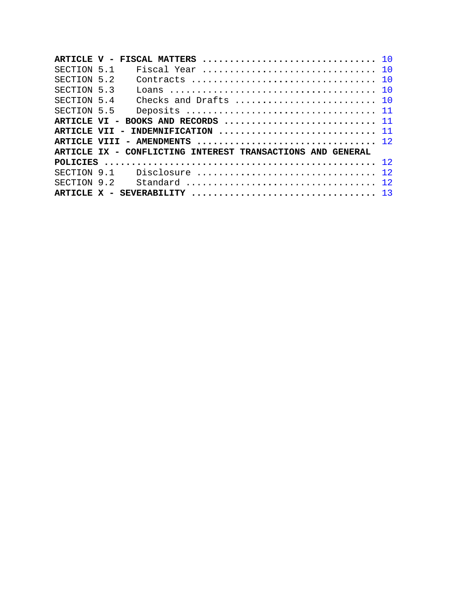|              | ARTICLE V - FISCAL MATTERS $\ldots \ldots \ldots \ldots \ldots \ldots \ldots \ldots \ldots \ldots \ldots \ldots$ |                       |           |
|--------------|------------------------------------------------------------------------------------------------------------------|-----------------------|-----------|
| SECTION 5.1  |                                                                                                                  | Fiscal Year           | - 1 O     |
| SECTION 5.2  |                                                                                                                  | Contracts             | <b>10</b> |
| SECTION 5.3  |                                                                                                                  |                       |           |
| SECTION 5.4  |                                                                                                                  | Checks and Drafts  10 |           |
| SECTION 5.5  |                                                                                                                  |                       |           |
| ARTICLE VI - |                                                                                                                  |                       |           |
|              |                                                                                                                  |                       |           |
|              |                                                                                                                  |                       |           |
|              | ARTICLE IX - CONFLICTING INTEREST TRANSACTIONS AND GENERAL                                                       |                       |           |
|              |                                                                                                                  |                       |           |
| SECTION 9.1  |                                                                                                                  | Disclosure            | 12        |
| SECTION 9.2  |                                                                                                                  |                       | 12        |
|              |                                                                                                                  |                       |           |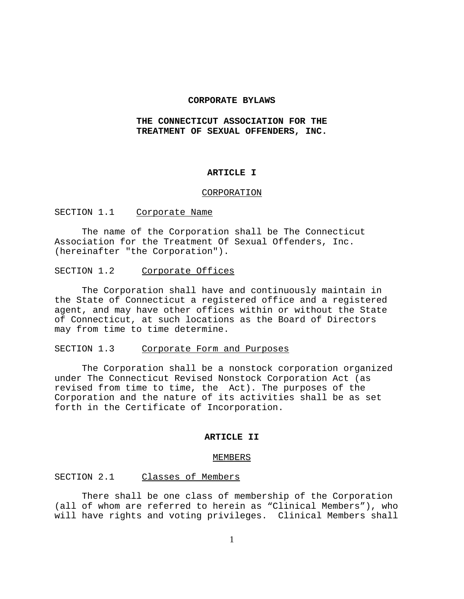# **CORPORATE BYLAWS**

# **THE CONNECTICUT ASSOCIATION FOR THE TREATMENT OF SEXUAL OFFENDERS, INC.**

# **ARTICLE I**

#### CORPORATION

# SECTION 1.1 Corporate Name

The name of the Corporation shall be The Connecticut Association for the Treatment Of Sexual Offenders, Inc. (hereinafter "the Corporation").

# SECTION 1.2 Corporate Offices

The Corporation shall have and continuously maintain in the State of Connecticut a registered office and a registered agent, and may have other offices within or without the State of Connecticut, at such locations as the Board of Directors may from time to time determine.

# SECTION 1.3 Corporate Form and Purposes

The Corporation shall be a nonstock corporation organized under The Connecticut Revised Nonstock Corporation Act (as revised from time to time, the Act). The purposes of the Corporation and the nature of its activities shall be as set forth in the Certificate of Incorporation.

### **ARTICLE II**

#### MEMBERS

### SECTION 2.1 Classes of Members

There shall be one class of membership of the Corporation (all of whom are referred to herein as "Clinical Members"), who will have rights and voting privileges. Clinical Members shall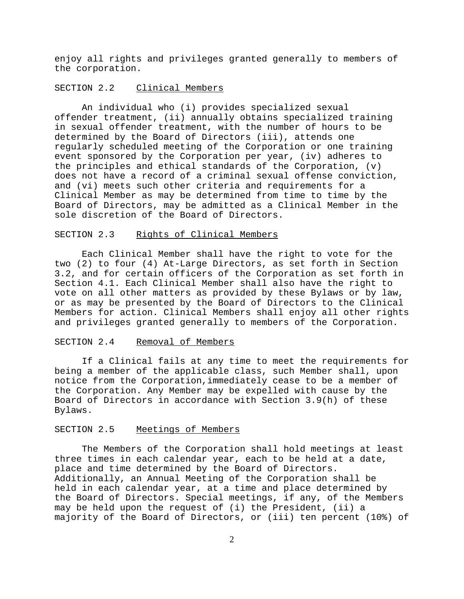enjoy all rights and privileges granted generally to members of the corporation.

# SECTION 2.2 Clinical Members

An individual who (i) provides specialized sexual offender treatment, (ii) annually obtains specialized training in sexual offender treatment, with the number of hours to be determined by the Board of Directors (iii), attends one regularly scheduled meeting of the Corporation or one training event sponsored by the Corporation per year, (iv) adheres to the principles and ethical standards of the Corporation, (v) does not have a record of a criminal sexual offense conviction, and (vi) meets such other criteria and requirements for a Clinical Member as may be determined from time to time by the Board of Directors, may be admitted as a Clinical Member in the sole discretion of the Board of Directors.

#### SECTION 2.3 Rights of Clinical Members

Each Clinical Member shall have the right to vote for the two (2) to four (4) At-Large Directors, as set forth in Section 3.2, and for certain officers of the Corporation as set forth in Section 4.1. Each Clinical Member shall also have the right to vote on all other matters as provided by these Bylaws or by law, or as may be presented by the Board of Directors to the Clinical Members for action. Clinical Members shall enjoy all other rights and privileges granted generally to members of the Corporation.

#### SECTION 2.4 Removal of Members

If a Clinical fails at any time to meet the requirements for being a member of the applicable class, such Member shall, upon notice from the Corporation,immediately cease to be a member of the Corporation. Any Member may be expelled with cause by the Board of Directors in accordance with Section 3.9(h) of these Bylaws.

## SECTION 2.5 Meetings of Members

The Members of the Corporation shall hold meetings at least three times in each calendar year, each to be held at a date, place and time determined by the Board of Directors. Additionally, an Annual Meeting of the Corporation shall be held in each calendar year, at a time and place determined by the Board of Directors. Special meetings, if any, of the Members may be held upon the request of (i) the President, (ii) a majority of the Board of Directors, or (iii) ten percent (10%) of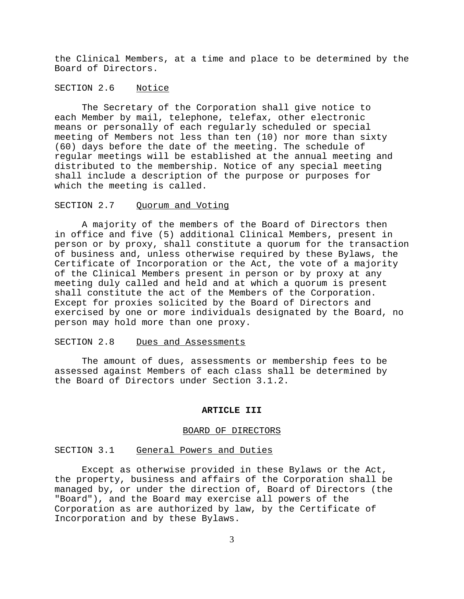the Clinical Members, at a time and place to be determined by the Board of Directors.

# SECTION 2.6 Notice

The Secretary of the Corporation shall give notice to each Member by mail, telephone, telefax, other electronic means or personally of each regularly scheduled or special meeting of Members not less than ten (10) nor more than sixty (60) days before the date of the meeting. The schedule of regular meetings will be established at the annual meeting and distributed to the membership. Notice of any special meeting shall include a description of the purpose or purposes for which the meeting is called.

## SECTION 2.7 Quorum and Voting

A majority of the members of the Board of Directors then in office and five (5) additional Clinical Members, present in person or by proxy, shall constitute a quorum for the transaction of business and, unless otherwise required by these Bylaws, the Certificate of Incorporation or the Act, the vote of a majority of the Clinical Members present in person or by proxy at any meeting duly called and held and at which a quorum is present shall constitute the act of the Members of the Corporation. Except for proxies solicited by the Board of Directors and exercised by one or more individuals designated by the Board, no person may hold more than one proxy.

### SECTION 2.8 Dues and Assessments

The amount of dues, assessments or membership fees to be assessed against Members of each class shall be determined by the Board of Directors under Section 3.1.2.

#### **ARTICLE III**

#### BOARD OF DIRECTORS

#### SECTION 3.1 General Powers and Duties

Except as otherwise provided in these Bylaws or the Act, the property, business and affairs of the Corporation shall be managed by, or under the direction of, Board of Directors (the "Board"), and the Board may exercise all powers of the Corporation as are authorized by law, by the Certificate of Incorporation and by these Bylaws.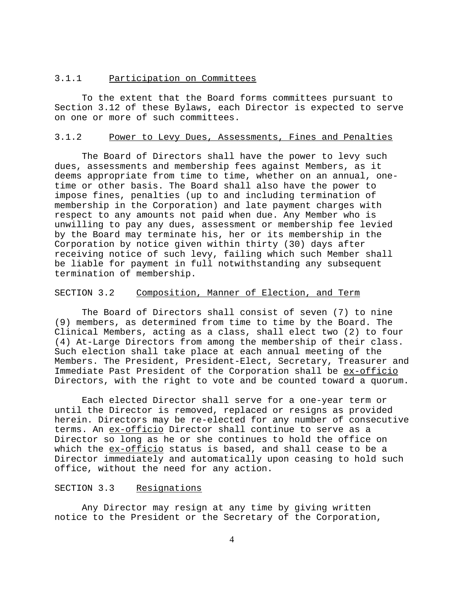#### 3.1.1 Participation on Committees

To the extent that the Board forms committees pursuant to Section 3.12 of these Bylaws, each Director is expected to serve on one or more of such committees.

# 3.1.2 Power to Levy Dues, Assessments, Fines and Penalties

The Board of Directors shall have the power to levy such dues, assessments and membership fees against Members, as it deems appropriate from time to time, whether on an annual, onetime or other basis. The Board shall also have the power to impose fines, penalties (up to and including termination of membership in the Corporation) and late payment charges with respect to any amounts not paid when due. Any Member who is unwilling to pay any dues, assessment or membership fee levied by the Board may terminate his, her or its membership in the Corporation by notice given within thirty (30) days after receiving notice of such levy, failing which such Member shall be liable for payment in full notwithstanding any subsequent termination of membership.

### SECTION 3.2 Composition, Manner of Election, and Term

The Board of Directors shall consist of seven (7) to nine (9) members, as determined from time to time by the Board. The Clinical Members, acting as a class, shall elect two (2) to four (4) At-Large Directors from among the membership of their class. Such election shall take place at each annual meeting of the Members. The President, President-Elect, Secretary, Treasurer and Immediate Past President of the Corporation shall be ex-officio Directors, with the right to vote and be counted toward a quorum.

Each elected Director shall serve for a one-year term or until the Director is removed, replaced or resigns as provided herein. Directors may be re-elected for any number of consecutive terms. An ex-officio Director shall continue to serve as a Director so long as he or she continues to hold the office on which the ex-officio status is based, and shall cease to be a Director immediately and automatically upon ceasing to hold such office, without the need for any action.

#### SECTION 3.3 Resignations

Any Director may resign at any time by giving written notice to the President or the Secretary of the Corporation,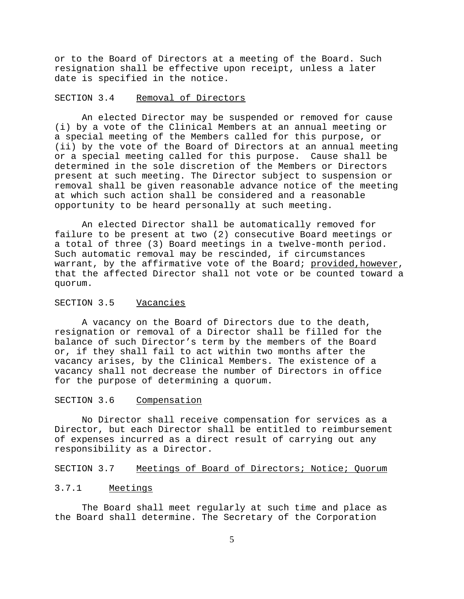or to the Board of Directors at a meeting of the Board. Such resignation shall be effective upon receipt, unless a later date is specified in the notice.

## SECTION 3.4 Removal of Directors

An elected Director may be suspended or removed for cause (i) by a vote of the Clinical Members at an annual meeting or a special meeting of the Members called for this purpose, or (ii) by the vote of the Board of Directors at an annual meeting or a special meeting called for this purpose. Cause shall be determined in the sole discretion of the Members or Directors present at such meeting. The Director subject to suspension or removal shall be given reasonable advance notice of the meeting at which such action shall be considered and a reasonable opportunity to be heard personally at such meeting.

An elected Director shall be automatically removed for failure to be present at two (2) consecutive Board meetings or a total of three (3) Board meetings in a twelve-month period. Such automatic removal may be rescinded, if circumstances warrant, by the affirmative vote of the Board; provided, however, that the affected Director shall not vote or be counted toward a quorum.

### SECTION 3.5 Vacancies

A vacancy on the Board of Directors due to the death, resignation or removal of a Director shall be filled for the balance of such Director's term by the members of the Board or, if they shall fail to act within two months after the vacancy arises, by the Clinical Members. The existence of a vacancy shall not decrease the number of Directors in office for the purpose of determining a quorum.

#### SECTION 3.6 Compensation

No Director shall receive compensation for services as a Director, but each Director shall be entitled to reimbursement of expenses incurred as a direct result of carrying out any responsibility as a Director.

# SECTION 3.7 Meetings of Board of Directors; Notice; Quorum

# 3.7.1 Meetings

The Board shall meet regularly at such time and place as the Board shall determine. The Secretary of the Corporation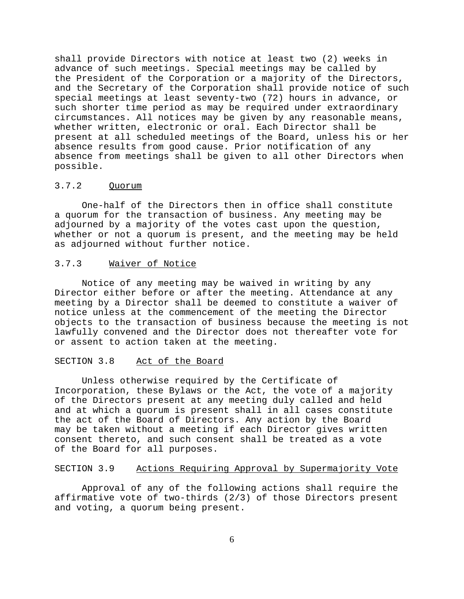shall provide Directors with notice at least two (2) weeks in advance of such meetings. Special meetings may be called by the President of the Corporation or a majority of the Directors, and the Secretary of the Corporation shall provide notice of such special meetings at least seventy-two (72) hours in advance, or such shorter time period as may be required under extraordinary circumstances. All notices may be given by any reasonable means, whether written, electronic or oral. Each Director shall be present at all scheduled meetings of the Board, unless his or her absence results from good cause. Prior notification of any absence from meetings shall be given to all other Directors when possible.

# 3.7.2 Quorum

One-half of the Directors then in office shall constitute a quorum for the transaction of business. Any meeting may be adjourned by a majority of the votes cast upon the question, whether or not a quorum is present, and the meeting may be held as adjourned without further notice.

# 3.7.3 Waiver of Notice

Notice of any meeting may be waived in writing by any Director either before or after the meeting. Attendance at any meeting by a Director shall be deemed to constitute a waiver of notice unless at the commencement of the meeting the Director objects to the transaction of business because the meeting is not lawfully convened and the Director does not thereafter vote for or assent to action taken at the meeting.

### SECTION 3.8 Act of the Board

Unless otherwise required by the Certificate of Incorporation, these Bylaws or the Act, the vote of a majority of the Directors present at any meeting duly called and held and at which a quorum is present shall in all cases constitute the act of the Board of Directors. Any action by the Board may be taken without a meeting if each Director gives written consent thereto, and such consent shall be treated as a vote of the Board for all purposes.

## SECTION 3.9 Actions Requiring Approval by Supermajority Vote

Approval of any of the following actions shall require the affirmative vote of two-thirds (2/3) of those Directors present and voting, a quorum being present.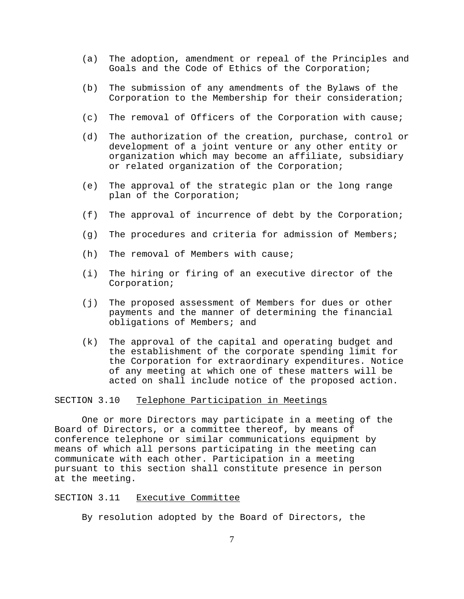- (a) The adoption, amendment or repeal of the Principles and Goals and the Code of Ethics of the Corporation;
- (b) The submission of any amendments of the Bylaws of the Corporation to the Membership for their consideration;
- (c) The removal of Officers of the Corporation with cause;
- (d) The authorization of the creation, purchase, control or development of a joint venture or any other entity or organization which may become an affiliate, subsidiary or related organization of the Corporation;
- (e) The approval of the strategic plan or the long range plan of the Corporation;
- (f) The approval of incurrence of debt by the Corporation;
- (g) The procedures and criteria for admission of Members;
- (h) The removal of Members with cause;
- (i) The hiring or firing of an executive director of the Corporation;
- (j) The proposed assessment of Members for dues or other payments and the manner of determining the financial obligations of Members; and
- (k) The approval of the capital and operating budget and the establishment of the corporate spending limit for the Corporation for extraordinary expenditures. Notice of any meeting at which one of these matters will be acted on shall include notice of the proposed action.

## SECTION 3.10 Telephone Participation in Meetings

One or more Directors may participate in a meeting of the Board of Directors, or a committee thereof, by means of conference telephone or similar communications equipment by means of which all persons participating in the meeting can communicate with each other. Participation in a meeting pursuant to this section shall constitute presence in person at the meeting.

# SECTION 3.11 Executive Committee

By resolution adopted by the Board of Directors, the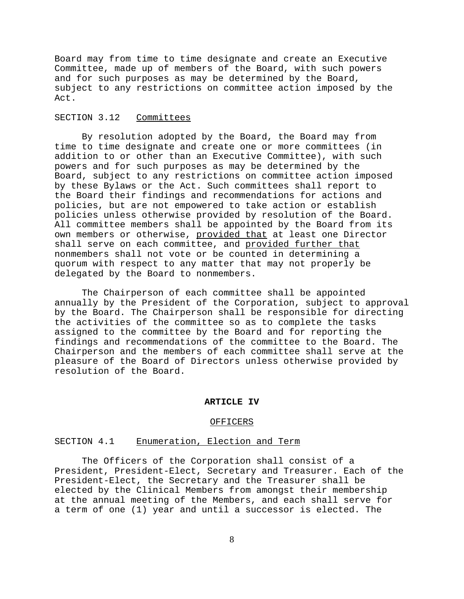Board may from time to time designate and create an Executive Committee, made up of members of the Board, with such powers and for such purposes as may be determined by the Board, subject to any restrictions on committee action imposed by the Act.

# SECTION 3.12 Committees

By resolution adopted by the Board, the Board may from time to time designate and create one or more committees (in addition to or other than an Executive Committee), with such powers and for such purposes as may be determined by the Board, subject to any restrictions on committee action imposed by these Bylaws or the Act. Such committees shall report to the Board their findings and recommendations for actions and policies, but are not empowered to take action or establish policies unless otherwise provided by resolution of the Board. All committee members shall be appointed by the Board from its own members or otherwise, provided that at least one Director shall serve on each committee, and provided further that nonmembers shall not vote or be counted in determining a quorum with respect to any matter that may not properly be delegated by the Board to nonmembers.

The Chairperson of each committee shall be appointed annually by the President of the Corporation, subject to approval by the Board. The Chairperson shall be responsible for directing the activities of the committee so as to complete the tasks assigned to the committee by the Board and for reporting the findings and recommendations of the committee to the Board. The Chairperson and the members of each committee shall serve at the pleasure of the Board of Directors unless otherwise provided by resolution of the Board.

#### **ARTICLE IV**

#### OFFICERS

## SECTION 4.1 Enumeration, Election and Term

The Officers of the Corporation shall consist of a President, President-Elect, Secretary and Treasurer. Each of the President-Elect, the Secretary and the Treasurer shall be elected by the Clinical Members from amongst their membership at the annual meeting of the Members, and each shall serve for a term of one (1) year and until a successor is elected. The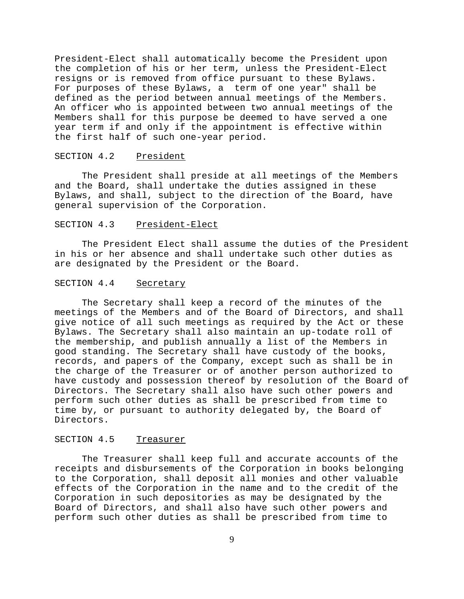President-Elect shall automatically become the President upon the completion of his or her term, unless the President-Elect resigns or is removed from office pursuant to these Bylaws. For purposes of these Bylaws, a term of one year" shall be defined as the period between annual meetings of the Members. An officer who is appointed between two annual meetings of the Members shall for this purpose be deemed to have served a one year term if and only if the appointment is effective within the first half of such one-year period.

#### SECTION 4.2 President

The President shall preside at all meetings of the Members and the Board, shall undertake the duties assigned in these Bylaws, and shall, subject to the direction of the Board, have general supervision of the Corporation.

#### SECTION 4.3 President-Elect

The President Elect shall assume the duties of the President in his or her absence and shall undertake such other duties as are designated by the President or the Board.

# SECTION 4.4 Secretary

The Secretary shall keep a record of the minutes of the meetings of the Members and of the Board of Directors, and shall give notice of all such meetings as required by the Act or these Bylaws. The Secretary shall also maintain an up-todate roll of the membership, and publish annually a list of the Members in good standing. The Secretary shall have custody of the books, records, and papers of the Company, except such as shall be in the charge of the Treasurer or of another person authorized to have custody and possession thereof by resolution of the Board of Directors. The Secretary shall also have such other powers and perform such other duties as shall be prescribed from time to time by, or pursuant to authority delegated by, the Board of Directors.

#### SECTION 4.5 Treasurer

The Treasurer shall keep full and accurate accounts of the receipts and disbursements of the Corporation in books belonging to the Corporation, shall deposit all monies and other valuable effects of the Corporation in the name and to the credit of the Corporation in such depositories as may be designated by the Board of Directors, and shall also have such other powers and perform such other duties as shall be prescribed from time to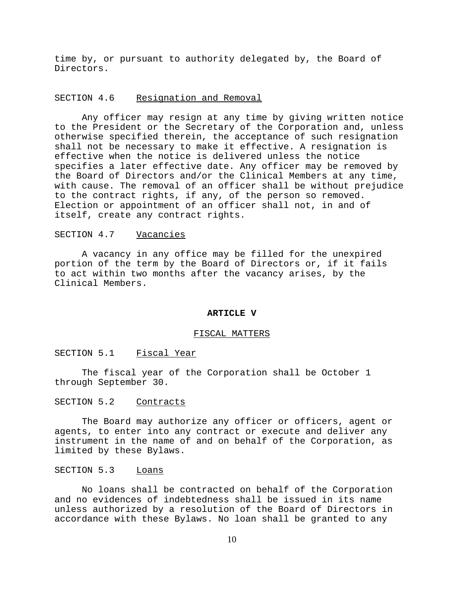time by, or pursuant to authority delegated by, the Board of Directors.

### SECTION 4.6 Resignation and Removal

Any officer may resign at any time by giving written notice to the President or the Secretary of the Corporation and, unless otherwise specified therein, the acceptance of such resignation shall not be necessary to make it effective. A resignation is effective when the notice is delivered unless the notice specifies a later effective date. Any officer may be removed by the Board of Directors and/or the Clinical Members at any time, with cause. The removal of an officer shall be without prejudice to the contract rights, if any, of the person so removed. Election or appointment of an officer shall not, in and of itself, create any contract rights.

# SECTION 4.7 Vacancies

A vacancy in any office may be filled for the unexpired portion of the term by the Board of Directors or, if it fails to act within two months after the vacancy arises, by the Clinical Members.

# **ARTICLE V**

### FISCAL MATTERS

SECTION 5.1 Fiscal Year

The fiscal year of the Corporation shall be October 1 through September 30.

## SECTION 5.2 Contracts

The Board may authorize any officer or officers, agent or agents, to enter into any contract or execute and deliver any instrument in the name of and on behalf of the Corporation, as limited by these Bylaws.

# SECTION 5.3 Loans

No loans shall be contracted on behalf of the Corporation and no evidences of indebtedness shall be issued in its name unless authorized by a resolution of the Board of Directors in accordance with these Bylaws. No loan shall be granted to any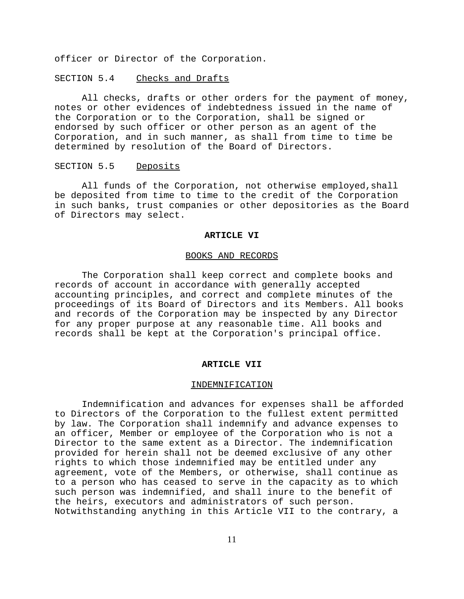officer or Director of the Corporation.

SECTION 5.4 Checks and Drafts

All checks, drafts or other orders for the payment of money, notes or other evidences of indebtedness issued in the name of the Corporation or to the Corporation, shall be signed or endorsed by such officer or other person as an agent of the Corporation, and in such manner, as shall from time to time be determined by resolution of the Board of Directors.

# SECTION 5.5 Deposits

All funds of the Corporation, not otherwise employed,shall be deposited from time to time to the credit of the Corporation in such banks, trust companies or other depositories as the Board of Directors may select.

#### **ARTICLE VI**

#### BOOKS AND RECORDS

The Corporation shall keep correct and complete books and records of account in accordance with generally accepted accounting principles, and correct and complete minutes of the proceedings of its Board of Directors and its Members. All books and records of the Corporation may be inspected by any Director for any proper purpose at any reasonable time. All books and records shall be kept at the Corporation's principal office.

#### **ARTICLE VII**

#### INDEMNIFICATION

Indemnification and advances for expenses shall be afforded to Directors of the Corporation to the fullest extent permitted by law. The Corporation shall indemnify and advance expenses to an officer, Member or employee of the Corporation who is not a Director to the same extent as a Director. The indemnification provided for herein shall not be deemed exclusive of any other rights to which those indemnified may be entitled under any agreement, vote of the Members, or otherwise, shall continue as to a person who has ceased to serve in the capacity as to which such person was indemnified, and shall inure to the benefit of the heirs, executors and administrators of such person. Notwithstanding anything in this Article VII to the contrary, a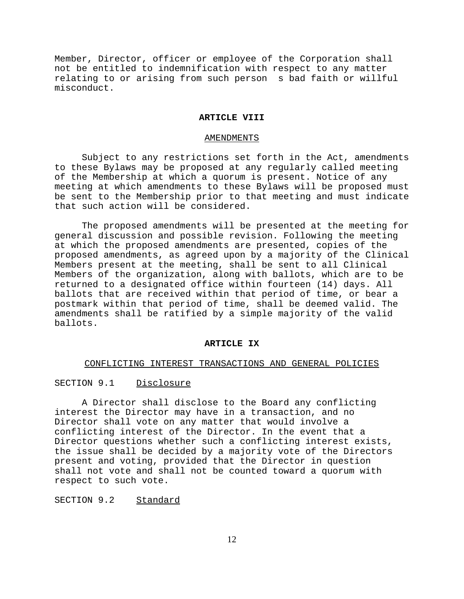Member, Director, officer or employee of the Corporation shall not be entitled to indemnification with respect to any matter relating to or arising from such person s bad faith or willful misconduct.

#### **ARTICLE VIII**

#### AMENDMENTS

Subject to any restrictions set forth in the Act, amendments to these Bylaws may be proposed at any regularly called meeting of the Membership at which a quorum is present. Notice of any meeting at which amendments to these Bylaws will be proposed must be sent to the Membership prior to that meeting and must indicate that such action will be considered.

The proposed amendments will be presented at the meeting for general discussion and possible revision. Following the meeting at which the proposed amendments are presented, copies of the proposed amendments, as agreed upon by a majority of the Clinical Members present at the meeting, shall be sent to all Clinical Members of the organization, along with ballots, which are to be returned to a designated office within fourteen (14) days. All ballots that are received within that period of time, or bear a postmark within that period of time, shall be deemed valid. The amendments shall be ratified by a simple majority of the valid ballots.

#### **ARTICLE IX**

#### CONFLICTING INTEREST TRANSACTIONS AND GENERAL POLICIES

# SECTION 9.1 Disclosure

A Director shall disclose to the Board any conflicting interest the Director may have in a transaction, and no Director shall vote on any matter that would involve a conflicting interest of the Director. In the event that a Director questions whether such a conflicting interest exists, the issue shall be decided by a majority vote of the Directors present and voting, provided that the Director in question shall not vote and shall not be counted toward a quorum with respect to such vote.

# SECTION 9.2 Standard